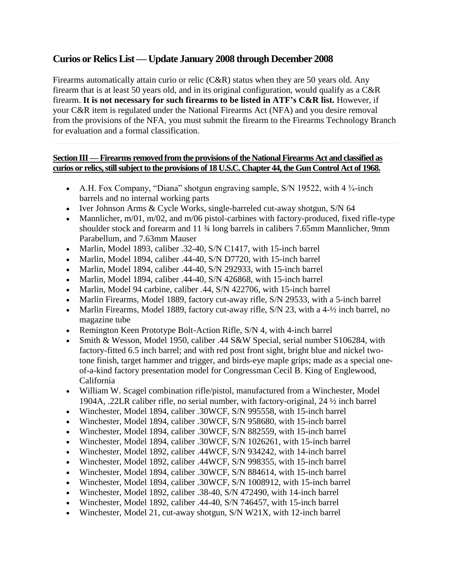## **Curios or Relics List —Update January 2008 through December 2008**

Firearms automatically attain curio or relic (C&R) status when they are 50 years old. Any firearm that is at least 50 years old, and in its original configuration, would qualify as a C&R firearm. **It is not necessary for such firearms to be listed in ATF's C&R list.** However, if your C&R item is regulated under the National Firearms Act (NFA) and you desire removal from the provisions of the NFA, you must submit the firearm to the Firearms Technology Branch for evaluation and a formal classification.

## **Section III —Firearms removed from the provisions of the National Firearms Act and classified as curios or relics, still subject to the provisions of 18 U.S.C. Chapter 44, the Gun Control Act of 1968.**

- A.H. Fox Company, "Diana" shotgun engraving sample, S/N 19522, with  $4\frac{3}{4}$ -inch barrels and no internal working parts
- Iver Johnson Arms & Cycle Works, single-barreled cut-away shotgun, S/N 64
- Mannlicher,  $m/01$ ,  $m/02$ , and  $m/06$  pistol-carbines with factory-produced, fixed rifle-type shoulder stock and forearm and 11 ¾ long barrels in calibers 7.65mm Mannlicher, 9mm Parabellum, and 7.63mm Mauser
- Marlin, Model 1893, caliber .32-40, S/N C1417, with 15-inch barrel
- Marlin, Model 1894, caliber .44-40, S/N D7720, with 15-inch barrel
- Marlin, Model 1894, caliber .44-40, S/N 292933, with 15-inch barrel
- Marlin, Model 1894, caliber .44-40, S/N 426868, with 15-inch barrel
- Marlin, Model 94 carbine, caliber .44, S/N 422706, with 15-inch barrel
- Marlin Firearms, Model 1889, factory cut-away rifle, S/N 29533, with a 5-inch barrel
- Marlin Firearms, Model 1889, factory cut-away rifle, S/N 23, with a 4- $\frac{1}{2}$  inch barrel, no magazine tube
- Remington Keen Prototype Bolt-Action Rifle, S/N 4, with 4-inch barrel
- Smith & Wesson, Model 1950, caliber .44 S&W Special, serial number S106284, with factory-fitted 6.5 inch barrel; and with red post front sight, bright blue and nickel twotone finish, target hammer and trigger, and birds-eye maple grips; made as a special oneof-a-kind factory presentation model for Congressman Cecil B. King of Englewood, California
- William W. Scagel combination rifle/pistol, manufactured from a Winchester, Model 1904A, .22LR caliber rifle, no serial number, with factory-original, 24 ½ inch barrel
- Winchester, Model 1894, caliber .30WCF, S/N 995558, with 15-inch barrel
- Winchester, Model 1894, caliber .30WCF, S/N 958680, with 15-inch barrel
- Winchester, Model 1894, caliber .30WCF, S/N 882559, with 15-inch barrel
- Winchester, Model 1894, caliber .30WCF, S/N 1026261, with 15-inch barrel
- Winchester, Model 1892, caliber .44WCF, S/N 934242, with 14-inch barrel
- Winchester, Model 1892, caliber .44WCF, S/N 998355, with 15-inch barrel
- Winchester, Model 1894, caliber .30WCF, S/N 884614, with 15-inch barrel
- Winchester, Model 1894, caliber .30WCF, S/N 1008912, with 15-inch barrel
- Winchester, Model 1892, caliber .38-40, S/N 472490, with 14-inch barrel
- Winchester, Model 1892, caliber .44-40, S/N 746457, with 15-inch barrel
- Winchester, Model 21, cut-away shotgun, S/N W21X, with 12-inch barrel